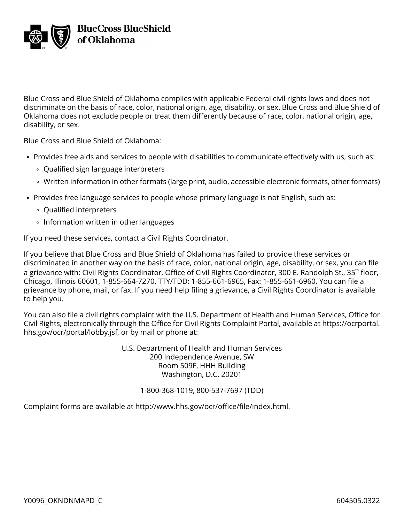

Blue Cross and Blue Shield of Oklahoma complies with applicable Federal civil rights laws and does not discriminate on the basis of race, color, national origin, age, disability, or sex. Blue Cross and Blue Shield of Oklahoma does not exclude people or treat them differently because of race, color, national origin, age, disability, or sex.

Blue Cross and Blue Shield of Oklahoma:

- Provides free aids and services to people with disabilities to communicate effectively with us, such as:
	- Qualified sign language interpreters
	- Written information in other formats (large print, audio, accessible electronic formats, other formats)
- Provides free language services to people whose primary language is not English, such as:
	- Qualified interpreters
	- **Information written in other languages**

If you need these services, contact a Civil Rights Coordinator.

If you believe that Blue Cross and Blue Shield of Oklahoma has failed to provide these services or discriminated in another way on the basis of race, color, national origin, age, disability, or sex, you can file a grievance with: Civil Rights Coordinator, Office of Civil Rights Coordinator, 300 E. Randolph St., 35<sup>th</sup> floor, Chicago, Illinois 60601, 1-855-664-7270, TTY/TDD: 1-855-661-6965, Fax: 1-855-661-6960. You can file a grievance by phone, mail, or fax. If you need help filing a grievance, a Civil Rights Coordinator is available to help you.

You can also file a civil rights complaint with the U.S. Department of Health and Human Services, Office for Civil Rights, electronically through the Office for Civil Rights Complaint Portal, available at [https://ocrportal.](https://ocrportal.hhs.gov/ocr/portal/lobby.jsf) [hhs.gov/ocr/portal/lobby.jsf](https://ocrportal.hhs.gov/ocr/portal/lobby.jsf), or by mail or phone at:

> U.S. Department of Health and Human Services 200 Independence Avenue, SW Room 509F, HHH Building Washington, D.C. 20201

## 1-800-368-1019, 800-537-7697 (TDD)

Complaint forms are available at [http://www.hhs.gov/ocr/office/file/index.html.](http://www.hhs.gov/ocr/office/file/index.html)